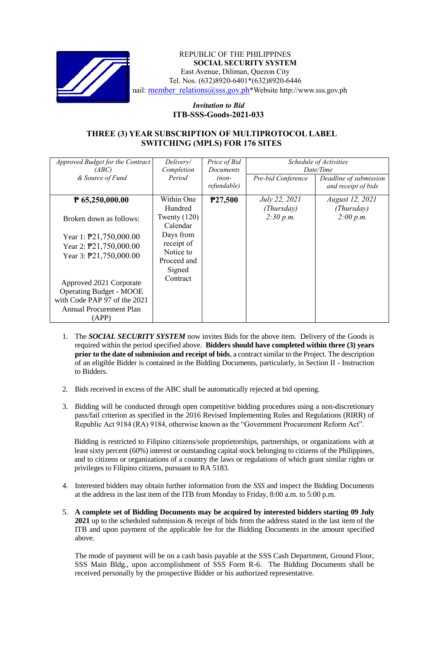

### REPUBLIC OF THE PHILIPPINES **SOCIAL SECURITY SYSTEM** East Avenue, Diliman, Quezon City Tel. Nos. (632)8920-6401\*(632)8920-6446 nail: member\_relations@sss.gov.ph\*Website http://www.sss.gov.ph

# *Invitation to Bid*  **ITB-SSS-Goods-2021-033**

# **THREE (3) YEAR SUBSCRIPTION OF MULTIPROTOCOL LABEL SWITCHING (MPLS) FOR 176 SITES**

| Approved Budget for the Contract | Delivery/      | Price of Bid     | Schedule of Activities<br>Date/Time |                        |
|----------------------------------|----------------|------------------|-------------------------------------|------------------------|
| (ABC)                            | Completion     | <b>Documents</b> |                                     |                        |
| & Source of Fund                 | Period         | $(non-$          | Pre-bid Conference                  | Deadline of submission |
|                                  |                | refundable)      |                                     | and receipt of bids    |
| $P$ 65,250,000.00                | Within One     | P27,500          | July 22, 2021                       | <i>August 12, 2021</i> |
|                                  | Hundred        |                  | (Thursday)                          | (Thursday)             |
| Broken down as follows:          | Twenty $(120)$ |                  | 2:30 p.m.                           | 2:00 p.m.              |
|                                  | Calendar       |                  |                                     |                        |
| Year 1: $\text{P}21,750,000.00$  | Days from      |                  |                                     |                        |
| Year 2: $\text{P}21,750,000.00$  | receipt of     |                  |                                     |                        |
| Year 3: \pide 21,750,000.00      | Notice to      |                  |                                     |                        |
|                                  | Proceed and    |                  |                                     |                        |
|                                  | Signed         |                  |                                     |                        |
| Approved 2021 Corporate          | Contract       |                  |                                     |                        |
| <b>Operating Budget - MOOE</b>   |                |                  |                                     |                        |
|                                  |                |                  |                                     |                        |
| with Code PAP 97 of the 2021     |                |                  |                                     |                        |
| <b>Annual Procurement Plan</b>   |                |                  |                                     |                        |
| (APP)                            |                |                  |                                     |                        |

- 1. The *SOCIAL SECURITY SYSTEM* now invites Bids for the above item. Delivery of the Goods is required within the period specified above. **Bidders should have completed within three (3) years prior to the date of submission and receipt of bids**, a contract similar to the Project. The description of an eligible Bidder is contained in the Bidding Documents, particularly, in Section II - Instruction to Bidders.
- 2. Bids received in excess of the ABC shall be automatically rejected at bid opening.
- 3. Bidding will be conducted through open competitive bidding procedures using a non-discretionary pass/fail criterion as specified in the 2016 Revised Implementing Rules and Regulations (RIRR) of Republic Act 9184 (RA) 9184, otherwise known as the "Government Procurement Reform Act".

Bidding is restricted to Filipino citizens/sole proprietorships, partnerships, or organizations with at least sixty percent (60%) interest or outstanding capital stock belonging to citizens of the Philippines, and to citizens or organizations of a country the laws or regulations of which grant similar rights or privileges to Filipino citizens, pursuant to RA 5183.

- 4. Interested bidders may obtain further information from the *SSS* and inspect the Bidding Documents at the address in the last item of the ITB from Monday to Friday, 8:00 a.m. to 5:00 p.m.
- 5. **A complete set of Bidding Documents may be acquired by interested bidders starting 09 July 2021** up to the scheduled submission & receipt of bids from the address stated in the last item of the ITB and upon payment of the applicable fee for the Bidding Documents in the amount specified above.

The mode of payment will be on a cash basis payable at the SSS Cash Department, Ground Floor, SSS Main Bldg., upon accomplishment of SSS Form R-6. The Bidding Documents shall be received personally by the prospective Bidder or his authorized representative.